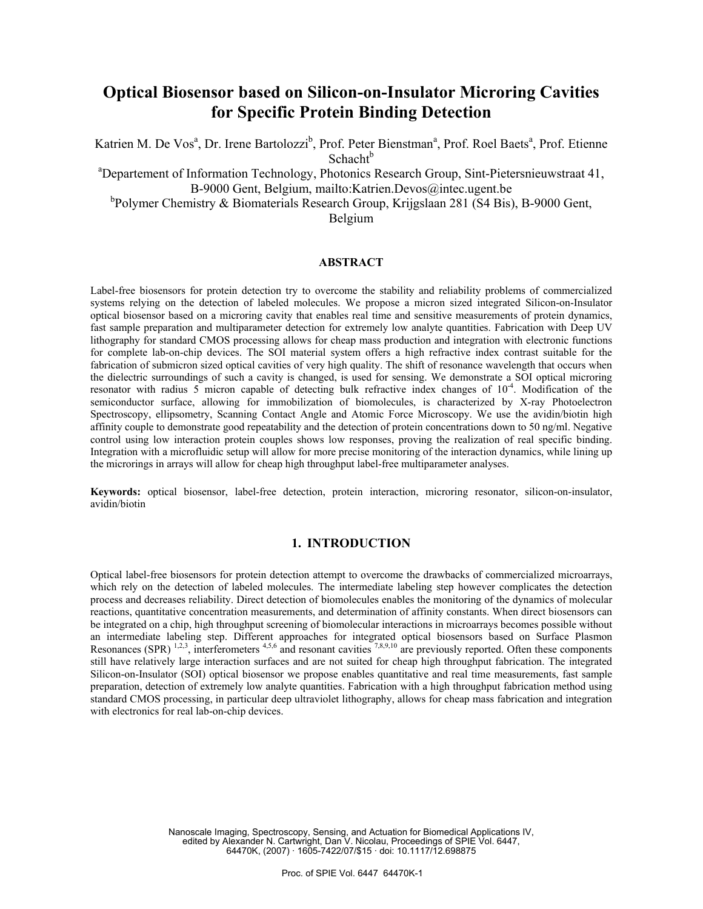# **Optical Biosensor based on Silicon-on-Insulator Microring Cavities for Specific Protein Binding Detection**

Katrien M. De Vos<sup>a</sup>, Dr. Irene Bartolozzi<sup>b</sup>, Prof. Peter Bienstman<sup>a</sup>, Prof. Roel Baets<sup>a</sup>, Prof. Etienne  $Schacht<sup>b</sup>$ 

<sup>a</sup>Departement of Information Technology, Photonics Research Group, Sint-Pietersnieuwstraat 41, B-9000 Gent, Belgium, mailto:Katrien.Devos@intec.ugent.be

<sup>b</sup>Polymer Chemistry & Biomaterials Research Group, Krijgslaan 281 (S4 Bis), B-9000 Gent,

Belgium

#### **ABSTRACT**

Label-free biosensors for protein detection try to overcome the stability and reliability problems of commercialized systems relying on the detection of labeled molecules. We propose a micron sized integrated Silicon-on-Insulator optical biosensor based on a microring cavity that enables real time and sensitive measurements of protein dynamics, fast sample preparation and multiparameter detection for extremely low analyte quantities. Fabrication with Deep UV lithography for standard CMOS processing allows for cheap mass production and integration with electronic functions for complete lab-on-chip devices. The SOI material system offers a high refractive index contrast suitable for the fabrication of submicron sized optical cavities of very high quality. The shift of resonance wavelength that occurs when the dielectric surroundings of such a cavity is changed, is used for sensing. We demonstrate a SOI optical microring resonator with radius 5 micron capable of detecting bulk refractive index changes of  $10^{-4}$ . Modification of the semiconductor surface, allowing for immobilization of biomolecules, is characterized by X-ray Photoelectron Spectroscopy, ellipsometry, Scanning Contact Angle and Atomic Force Microscopy. We use the avidin/biotin high affinity couple to demonstrate good repeatability and the detection of protein concentrations down to 50 ng/ml. Negative control using low interaction protein couples shows low responses, proving the realization of real specific binding. Integration with a microfluidic setup will allow for more precise monitoring of the interaction dynamics, while lining up the microrings in arrays will allow for cheap high throughput label-free multiparameter analyses.

**Keywords:** optical biosensor, label-free detection, protein interaction, microring resonator, silicon-on-insulator, avidin/biotin

# **1. INTRODUCTION**

Optical label-free biosensors for protein detection attempt to overcome the drawbacks of commercialized microarrays, which rely on the detection of labeled molecules. The intermediate labeling step however complicates the detection process and decreases reliability. Direct detection of biomolecules enables the monitoring of the dynamics of molecular reactions, quantitative concentration measurements, and determination of affinity constants. When direct biosensors can be integrated on a chip, high throughput screening of biomolecular interactions in microarrays becomes possible without an intermediate labeling step. Different approaches for integrated optical biosensors based on Surface Plasmon Resonances (SPR)  $^{1,2,3}$ , interferometers  $^{4,5,6}$  and resonant cavities  $^{7,8,9,10}$  are previously reported. Often these components still have relatively large interaction surfaces and are not suited for cheap high throughput fabrication. The integrated Silicon-on-Insulator (SOI) optical biosensor we propose enables quantitative and real time measurements, fast sample preparation, detection of extremely low analyte quantities. Fabrication with a high throughput fabrication method using standard CMOS processing, in particular deep ultraviolet lithography, allows for cheap mass fabrication and integration with electronics for real lab-on-chip devices.

> Nanoscale Imaging, Spectroscopy, Sensing, and Actuation for Biomedical Applications IV, edited by Alexander N. Cartwright, Dan V. Nicolau, Proceedings of SPIE Vol. 6447, 64470K, (2007) · 1605-7422/07/\$15 · doi: 10.1117/12.698875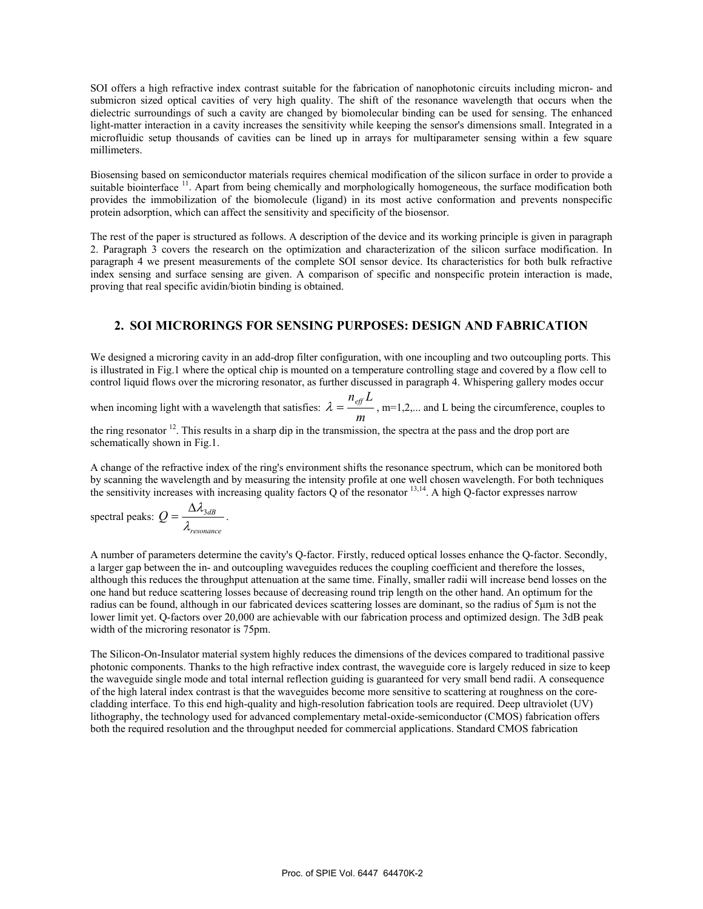SOI offers a high refractive index contrast suitable for the fabrication of nanophotonic circuits including micron- and submicron sized optical cavities of very high quality. The shift of the resonance wavelength that occurs when the dielectric surroundings of such a cavity are changed by biomolecular binding can be used for sensing. The enhanced light-matter interaction in a cavity increases the sensitivity while keeping the sensor's dimensions small. Integrated in a microfluidic setup thousands of cavities can be lined up in arrays for multiparameter sensing within a few square millimeters.

Biosensing based on semiconductor materials requires chemical modification of the silicon surface in order to provide a suitable biointerface <sup>11</sup>. Apart from being chemically and morphologically homogeneous, the surface modification both provides the immobilization of the biomolecule (ligand) in its most active conformation and prevents nonspecific protein adsorption, which can affect the sensitivity and specificity of the biosensor.

The rest of the paper is structured as follows. A description of the device and its working principle is given in paragraph 2. Paragraph 3 covers the research on the optimization and characterization of the silicon surface modification. In paragraph 4 we present measurements of the complete SOI sensor device. Its characteristics for both bulk refractive index sensing and surface sensing are given. A comparison of specific and nonspecific protein interaction is made, proving that real specific avidin/biotin binding is obtained.

## **2. SOI MICRORINGS FOR SENSING PURPOSES: DESIGN AND FABRICATION**

We designed a microring cavity in an add-drop filter configuration, with one incoupling and two outcoupling ports. This is illustrated in Fig.1 where the optical chip is mounted on a temperature controlling stage and covered by a flow cell to control liquid flows over the microring resonator, as further discussed in paragraph 4. Whispering gallery modes occur

when incoming light with a wavelength that satisfies:  $\lambda = \frac{-\omega}{m}$  $\lambda = \frac{n_{\text{eff}} L}{n_{\text{eff}}}$ , m=1,2,... and L being the circumference, couples to

the ring resonator <sup>12</sup>. This results in a sharp dip in the transmission, the spectra at the pass and the drop port are schematically shown in Fig.1.

A change of the refractive index of the ring's environment shifts the resonance spectrum, which can be monitored both by scanning the wavelength and by measuring the intensity profile at one well chosen wavelength. For both techniques the sensitivity increases with increasing quality factors  $Q$  of the resonator  $^{13,14}$ . A high Q-factor expresses narrow

spectral peaks:  $Q = \frac{\Delta \lambda_{3dB}}{\lambda_{resonance}}$  .

A number of parameters determine the cavity's Q-factor. Firstly, reduced optical losses enhance the Q-factor. Secondly, a larger gap between the in- and outcoupling waveguides reduces the coupling coefficient and therefore the losses, although this reduces the throughput attenuation at the same time. Finally, smaller radii will increase bend losses on the one hand but reduce scattering losses because of decreasing round trip length on the other hand. An optimum for the radius can be found, although in our fabricated devices scattering losses are dominant, so the radius of 5µm is not the lower limit yet. Q-factors over 20,000 are achievable with our fabrication process and optimized design. The 3dB peak width of the microring resonator is 75pm.

The Silicon-On-Insulator material system highly reduces the dimensions of the devices compared to traditional passive photonic components. Thanks to the high refractive index contrast, the waveguide core is largely reduced in size to keep the waveguide single mode and total internal reflection guiding is guaranteed for very small bend radii. A consequence of the high lateral index contrast is that the waveguides become more sensitive to scattering at roughness on the corecladding interface. To this end high-quality and high-resolution fabrication tools are required. Deep ultraviolet (UV) lithography, the technology used for advanced complementary metal-oxide-semiconductor (CMOS) fabrication offers both the required resolution and the throughput needed for commercial applications. Standard CMOS fabrication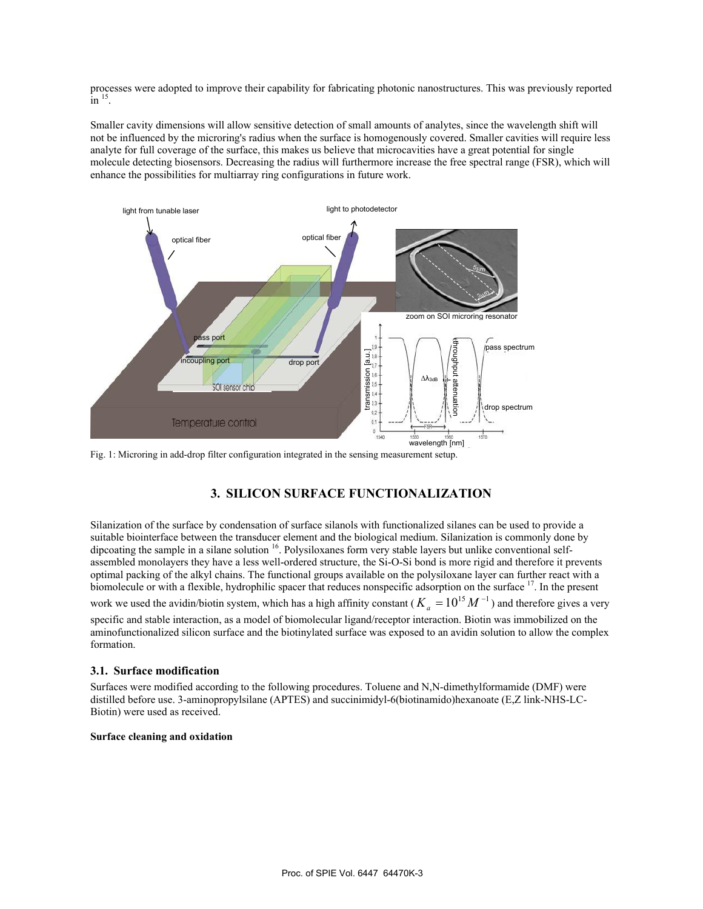processes were adopted to improve their capability for fabricating photonic nanostructures. This was previously reported  $\overline{\text{in}}^{15}$ .

Smaller cavity dimensions will allow sensitive detection of small amounts of analytes, since the wavelength shift will not be influenced by the microring's radius when the surface is homogenously covered. Smaller cavities will require less analyte for full coverage of the surface, this makes us believe that microcavities have a great potential for single molecule detecting biosensors. Decreasing the radius will furthermore increase the free spectral range (FSR), which will enhance the possibilities for multiarray ring configurations in future work.



Fig. 1: Microring in add-drop filter configuration integrated in the sensing measurement setup.

# **3. SILICON SURFACE FUNCTIONALIZATION**

Silanization of the surface by condensation of surface silanols with functionalized silanes can be used to provide a suitable biointerface between the transducer element and the biological medium. Silanization is commonly done by dipcoating the sample in a silane solution  $16$ . Polysiloxanes form very stable layers but unlike conventional selfassembled monolayers they have a less well-ordered structure, the Si-O-Si bond is more rigid and therefore it prevents optimal packing of the alkyl chains. The functional groups available on the polysiloxane layer can further react with a biomolecule or with a flexible, hydrophilic spacer that reduces nonspecific adsorption on the surface <sup>17</sup>. In the present

work we used the avidin/biotin system, which has a high affinity constant ( $K_a = 10^{15} M^{-1}$ ) and therefore gives a very specific and stable interaction, as a model of biomolecular ligand/receptor interaction. Biotin was immobilized on the aminofunctionalized silicon surface and the biotinylated surface was exposed to an avidin solution to allow the complex formation.

#### **3.1. Surface modification**

Surfaces were modified according to the following procedures. Toluene and N,N-dimethylformamide (DMF) were distilled before use. 3-aminopropylsilane (APTES) and succinimidyl-6(biotinamido)hexanoate (E,Z link-NHS-LC-Biotin) were used as received.

#### **Surface cleaning and oxidation**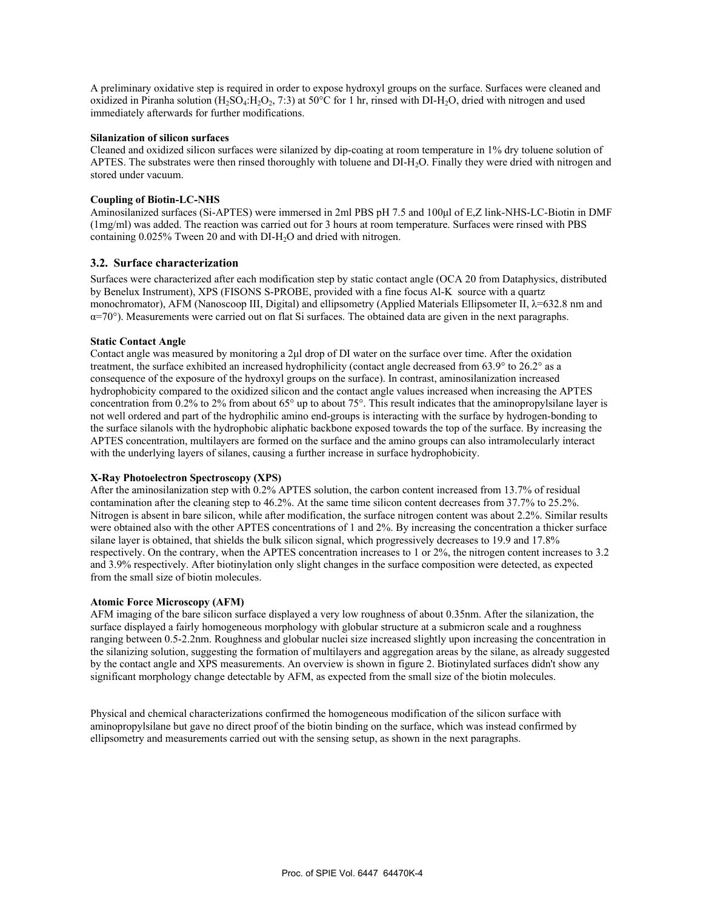A preliminary oxidative step is required in order to expose hydroxyl groups on the surface. Surfaces were cleaned and oxidized in Piranha solution (H<sub>2</sub>SO<sub>4</sub>:H<sub>2</sub>O<sub>2</sub>, 7:3) at 50°C for 1 hr, rinsed with DI-H<sub>2</sub>O, dried with nitrogen and used immediately afterwards for further modifications.

#### **Silanization of silicon surfaces**

Cleaned and oxidized silicon surfaces were silanized by dip-coating at room temperature in 1% dry toluene solution of APTES. The substrates were then rinsed thoroughly with toluene and DI-H<sub>2</sub>O. Finally they were dried with nitrogen and stored under vacuum.

#### **Coupling of Biotin-LC-NHS**

Aminosilanized surfaces (Si-APTES) were immersed in 2ml PBS pH 7.5 and 100µl of E,Z link-NHS-LC-Biotin in DMF (1mg/ml) was added. The reaction was carried out for 3 hours at room temperature. Surfaces were rinsed with PBS containing 0.025% Tween 20 and with DI-H<sub>2</sub>O and dried with nitrogen.

## **3.2. Surface characterization**

Surfaces were characterized after each modification step by static contact angle (OCA 20 from Dataphysics, distributed by Benelux Instrument), XPS (FISONS S-PROBE, provided with a fine focus Al-K source with a quartz monochromator), AFM (Nanoscoop III, Digital) and ellipsometry (Applied Materials Ellipsometer II,  $\lambda$ =632.8 nm and  $\alpha$ =70°). Measurements were carried out on flat Si surfaces. The obtained data are given in the next paragraphs.

#### **Static Contact Angle**

Contact angle was measured by monitoring a 2µl drop of DI water on the surface over time. After the oxidation treatment, the surface exhibited an increased hydrophilicity (contact angle decreased from 63.9° to 26.2° as a consequence of the exposure of the hydroxyl groups on the surface). In contrast, aminosilanization increased hydrophobicity compared to the oxidized silicon and the contact angle values increased when increasing the APTES concentration from 0.2% to 2% from about 65° up to about 75°. This result indicates that the aminopropylsilane layer is not well ordered and part of the hydrophilic amino end-groups is interacting with the surface by hydrogen-bonding to the surface silanols with the hydrophobic aliphatic backbone exposed towards the top of the surface. By increasing the APTES concentration, multilayers are formed on the surface and the amino groups can also intramolecularly interact with the underlying layers of silanes, causing a further increase in surface hydrophobicity.

#### **X-Ray Photoelectron Spectroscopy (XPS)**

After the aminosilanization step with 0.2% APTES solution, the carbon content increased from 13.7% of residual contamination after the cleaning step to 46.2%. At the same time silicon content decreases from 37.7% to 25.2%. Nitrogen is absent in bare silicon, while after modification, the surface nitrogen content was about 2.2%. Similar results were obtained also with the other APTES concentrations of 1 and 2%. By increasing the concentration a thicker surface silane layer is obtained, that shields the bulk silicon signal, which progressively decreases to 19.9 and 17.8% respectively. On the contrary, when the APTES concentration increases to 1 or 2%, the nitrogen content increases to 3.2 and 3.9% respectively. After biotinylation only slight changes in the surface composition were detected, as expected from the small size of biotin molecules.

#### **Atomic Force Microscopy (AFM)**

AFM imaging of the bare silicon surface displayed a very low roughness of about 0.35nm. After the silanization, the surface displayed a fairly homogeneous morphology with globular structure at a submicron scale and a roughness ranging between 0.5-2.2nm. Roughness and globular nuclei size increased slightly upon increasing the concentration in the silanizing solution, suggesting the formation of multilayers and aggregation areas by the silane, as already suggested by the contact angle and XPS measurements. An overview is shown in figure 2. Biotinylated surfaces didn't show any significant morphology change detectable by AFM, as expected from the small size of the biotin molecules.

Physical and chemical characterizations confirmed the homogeneous modification of the silicon surface with aminopropylsilane but gave no direct proof of the biotin binding on the surface, which was instead confirmed by ellipsometry and measurements carried out with the sensing setup, as shown in the next paragraphs.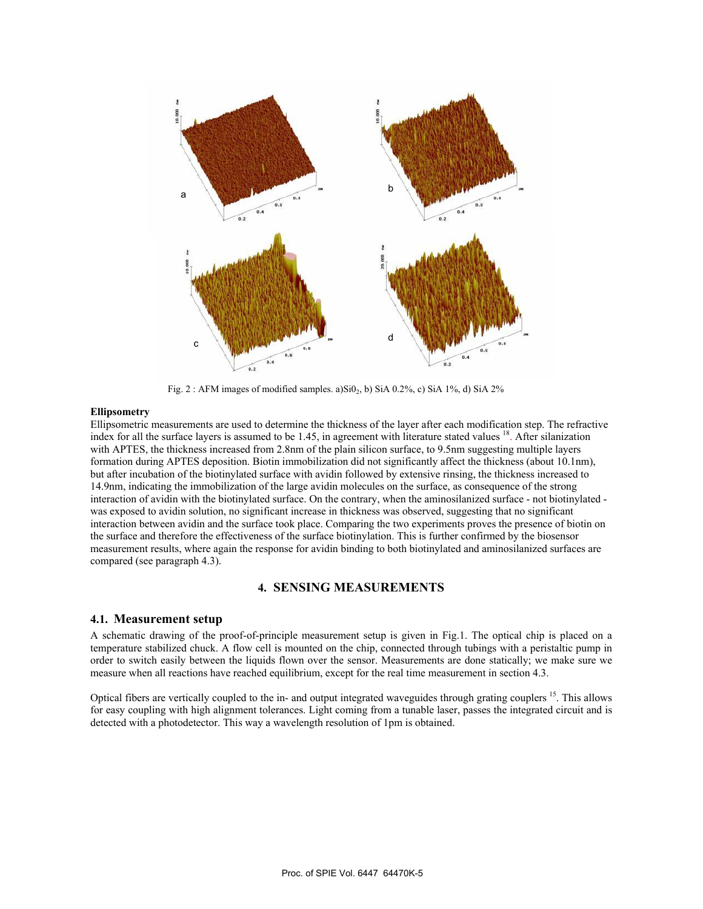

Fig. 2 : AFM images of modified samples. a) $SiO<sub>2</sub>$ , b) SiA 0.2%, c) SiA 1%, d) SiA 2%

#### **Ellipsometry**

Ellipsometric measurements are used to determine the thickness of the layer after each modification step. The refractive index for all the surface layers is assumed to be 1.45, in agreement with literature stated values  $^{18}$ . After silanization with APTES, the thickness increased from 2.8nm of the plain silicon surface, to 9.5nm suggesting multiple layers formation during APTES deposition. Biotin immobilization did not significantly affect the thickness (about 10.1nm), but after incubation of the biotinylated surface with avidin followed by extensive rinsing, the thickness increased to 14.9nm, indicating the immobilization of the large avidin molecules on the surface, as consequence of the strong interaction of avidin with the biotinylated surface. On the contrary, when the aminosilanized surface - not biotinylated was exposed to avidin solution, no significant increase in thickness was observed, suggesting that no significant interaction between avidin and the surface took place. Comparing the two experiments proves the presence of biotin on the surface and therefore the effectiveness of the surface biotinylation. This is further confirmed by the biosensor measurement results, where again the response for avidin binding to both biotinylated and aminosilanized surfaces are compared (see paragraph 4.3).

# **4. SENSING MEASUREMENTS**

#### **4.1. Measurement setup**

A schematic drawing of the proof-of-principle measurement setup is given in Fig.1. The optical chip is placed on a temperature stabilized chuck. A flow cell is mounted on the chip, connected through tubings with a peristaltic pump in order to switch easily between the liquids flown over the sensor. Measurements are done statically; we make sure we measure when all reactions have reached equilibrium, except for the real time measurement in section 4.3.

Optical fibers are vertically coupled to the in- and output integrated waveguides through grating couplers <sup>15</sup>. This allows for easy coupling with high alignment tolerances. Light coming from a tunable laser, passes the integrated circuit and is detected with a photodetector. This way a wavelength resolution of 1pm is obtained.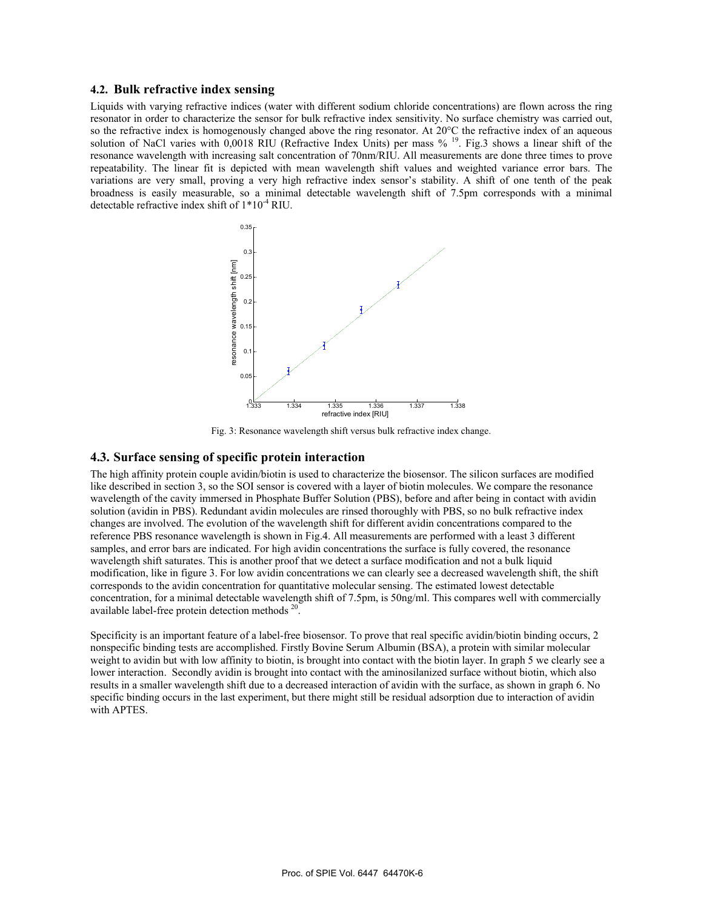#### **4.2. Bulk refractive index sensing**

Liquids with varying refractive indices (water with different sodium chloride concentrations) are flown across the ring resonator in order to characterize the sensor for bulk refractive index sensitivity. No surface chemistry was carried out, so the refractive index is homogenously changed above the ring resonator. At 20°C the refractive index of an aqueous solution of NaCl varies with 0,0018 RIU (Refractive Index Units) per mass %<sup>19</sup>. Fig.3 shows a linear shift of the resonance wavelength with increasing salt concentration of 70nm/RIU. All measurements are done three times to prove repeatability. The linear fit is depicted with mean wavelength shift values and weighted variance error bars. The variations are very small, proving a very high refractive index sensor's stability. A shift of one tenth of the peak broadness is easily measurable, so a minimal detectable wavelength shift of 7.5pm corresponds with a minimal detectable refractive index shift of 1\*10-4 RIU.



Fig. 3: Resonance wavelength shift versus bulk refractive index change.

## **4.3. Surface sensing of specific protein interaction**

The high affinity protein couple avidin/biotin is used to characterize the biosensor. The silicon surfaces are modified like described in section 3, so the SOI sensor is covered with a layer of biotin molecules. We compare the resonance wavelength of the cavity immersed in Phosphate Buffer Solution (PBS), before and after being in contact with avidin solution (avidin in PBS). Redundant avidin molecules are rinsed thoroughly with PBS, so no bulk refractive index changes are involved. The evolution of the wavelength shift for different avidin concentrations compared to the reference PBS resonance wavelength is shown in Fig.4. All measurements are performed with a least 3 different samples, and error bars are indicated. For high avidin concentrations the surface is fully covered, the resonance wavelength shift saturates. This is another proof that we detect a surface modification and not a bulk liquid modification, like in figure 3. For low avidin concentrations we can clearly see a decreased wavelength shift, the shift corresponds to the avidin concentration for quantitative molecular sensing. The estimated lowest detectable concentration, for a minimal detectable wavelength shift of 7.5pm, is 50ng/ml. This compares well with commercially available label-free protein detection methods 20.

Specificity is an important feature of a label-free biosensor. To prove that real specific avidin/biotin binding occurs, 2 nonspecific binding tests are accomplished. Firstly Bovine Serum Albumin (BSA), a protein with similar molecular weight to avidin but with low affinity to biotin, is brought into contact with the biotin layer. In graph 5 we clearly see a lower interaction. Secondly avidin is brought into contact with the aminosilanized surface without biotin, which also results in a smaller wavelength shift due to a decreased interaction of avidin with the surface, as shown in graph 6. No specific binding occurs in the last experiment, but there might still be residual adsorption due to interaction of avidin with APTES.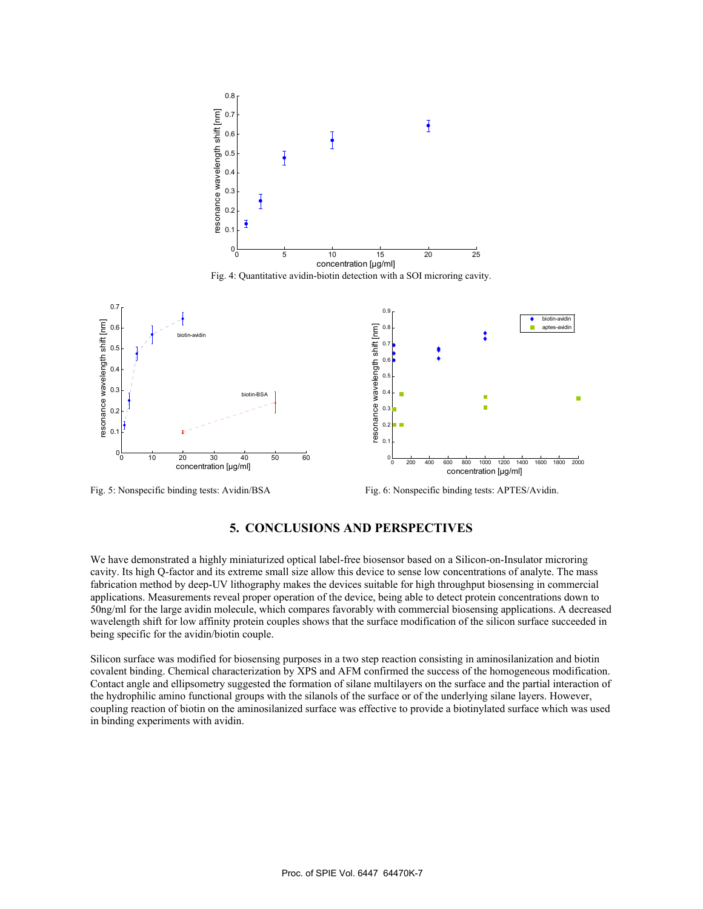

Fig. 4: Quantitative avidin-biotin detection with a SOI microring cavity.



Fig. 5: Nonspecific binding tests: Avidin/BSA Fig. 6: Nonspecific binding tests: APTES/Avidin.

## **5. CONCLUSIONS AND PERSPECTIVES**

We have demonstrated a highly miniaturized optical label-free biosensor based on a Silicon-on-Insulator microring cavity. Its high Q-factor and its extreme small size allow this device to sense low concentrations of analyte. The mass fabrication method by deep-UV lithography makes the devices suitable for high throughput biosensing in commercial applications. Measurements reveal proper operation of the device, being able to detect protein concentrations down to 50ng/ml for the large avidin molecule, which compares favorably with commercial biosensing applications. A decreased wavelength shift for low affinity protein couples shows that the surface modification of the silicon surface succeeded in being specific for the avidin/biotin couple.

Silicon surface was modified for biosensing purposes in a two step reaction consisting in aminosilanization and biotin covalent binding. Chemical characterization by XPS and AFM confirmed the success of the homogeneous modification. Contact angle and ellipsometry suggested the formation of silane multilayers on the surface and the partial interaction of the hydrophilic amino functional groups with the silanols of the surface or of the underlying silane layers. However, coupling reaction of biotin on the aminosilanized surface was effective to provide a biotinylated surface which was used in binding experiments with avidin.